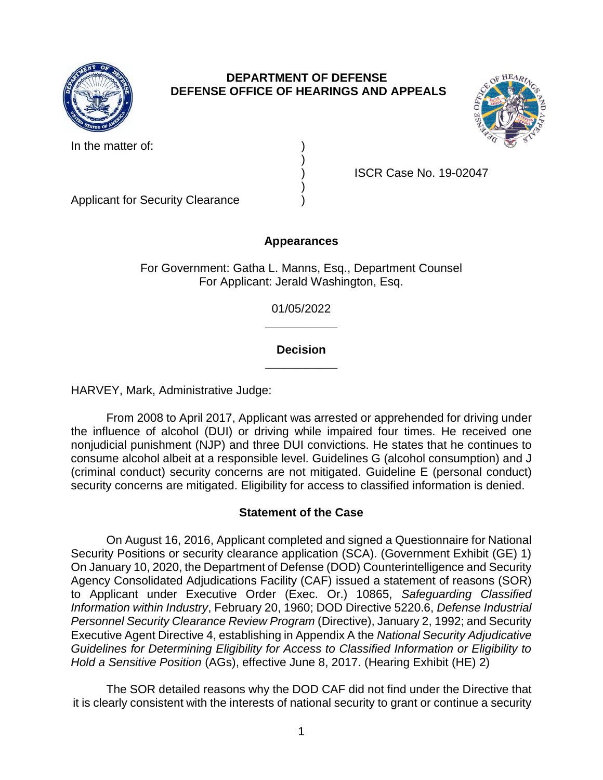

## **DEPARTMENT OF DEFENSE DEFENSE OFFICE OF HEARINGS AND APPEALS**

)

)







Applicant for Security Clearance )

) ISCR Case No. 19-02047

**Appearances** 

For Government: Gatha L. Manns, Esq., Department Counsel For Applicant: Jerald Washington, Esq.

> **\_\_\_\_\_\_\_\_\_\_\_**  01/05/2022

## **\_\_\_\_\_\_\_\_\_\_\_ Decision**

HARVEY, Mark, Administrative Judge:

 From 2008 to April 2017, Applicant was arrested or apprehended for driving under the influence of alcohol (DUI) or driving while impaired four times. He received one nonjudicial punishment (NJP) and three DUI convictions. He states that he continues to (criminal conduct) security concerns are not mitigated. Guideline E (personal conduct) security concerns are mitigated. Eligibility for access to classified information is denied. consume alcohol albeit at a responsible level. Guidelines G (alcohol consumption) and J

# **Statement of the Case**

 On August 16, 2016, Applicant completed and signed a Questionnaire for National Security Positions or security clearance application (SCA). (Government Exhibit (GE) 1) On January 10, 2020, the Department of Defense (DOD) Counterintelligence and Security Agency Consolidated Adjudications Facility (CAF) issued a statement of reasons (SOR)  to Applicant under Executive Order (Exec. Or.) 10865, *Safeguarding Classified*  Personnel Security Clearance Review Program (Directive), January 2, 1992; and Security Executive Agent Directive 4, establishing in Appendix A the *National Security Adjudicative Guidelines for Determining Eligibility for Access to Classified Information or Eligibility to Information within Industry*, February 20, 1960; DOD Directive 5220.6, *Defense Industrial Hold a Sensitive Position* (AGs), effective June 8, 2017. (Hearing Exhibit (HE) 2)

 The SOR detailed reasons why the DOD CAF did not find under the Directive that it is clearly consistent with the interests of national security to grant or continue a security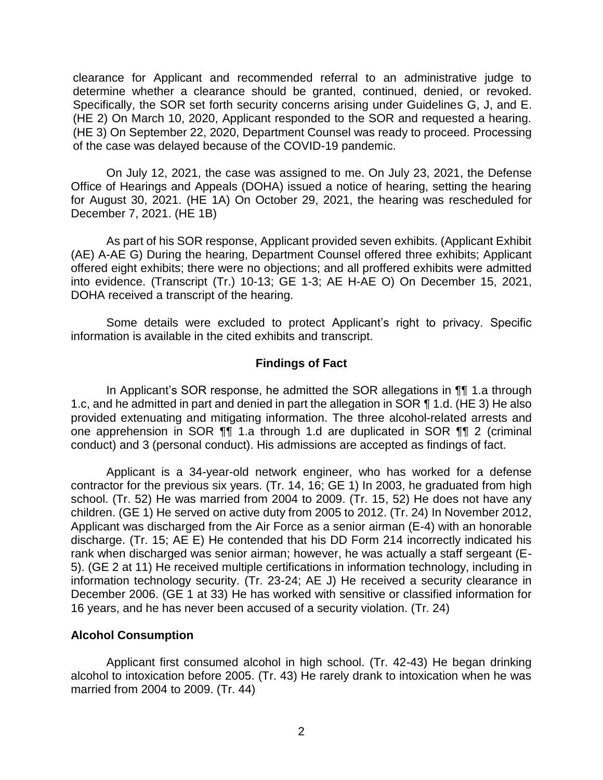clearance for Applicant and recommended referral to an administrative judge to determine whether a clearance should be granted, continued, denied, or revoked. Specifically, the SOR set forth security concerns arising under Guidelines G, J, and E. (HE 2) On March 10, 2020, Applicant responded to the SOR and requested a hearing. (HE 3) On September 22, 2020, Department Counsel was ready to proceed. Processing of the case was delayed because of the COVID-19 pandemic.

 of the case was delayed because of the COVID-19 pandemic. On July 12, 2021, the case was assigned to me. On July 23, 2021, the Defense Office of Hearings and Appeals (DOHA) issued a notice of hearing, setting the hearing for August 30, 2021. (HE 1A) On October 29, 2021, the hearing was rescheduled for December 7, 2021. (HE 1B)

 As part of his SOR response, Applicant provided seven exhibits. (Applicant Exhibit (AE) A-AE G) During the hearing, Department Counsel offered three exhibits; Applicant offered eight exhibits; there were no objections; and all proffered exhibits were admitted into evidence. (Transcript (Tr.) 10-13; GE 1-3; AE H-AE O) On December 15, 2021, DOHA received a transcript of the hearing.

 Some details were excluded to protect Applicant's right to privacy. Specific information is available in the cited exhibits and transcript.

### **Findings of Fact**

 In Applicant's SOR response, he admitted the SOR allegations in ¶¶ 1.a through 1.c, and he admitted in part and denied in part the allegation in SOR ¶ 1.d. (HE 3) He also provided extenuating and mitigating information. The three alcohol-related arrests and one apprehension in SOR ¶¶ 1.a through 1.d are duplicated in SOR ¶¶ 2 (criminal conduct) and 3 (personal conduct). His admissions are accepted as findings of fact.

Applicant is a 34-year-old network engineer, who has worked for a defense contractor for the previous six years. (Tr. 14, 16; GE 1) In 2003, he graduated from high school. (Tr. 52) He was married from 2004 to 2009. (Tr. 15, 52) He does not have any children. (GE 1) He served on active duty from 2005 to 2012. (Tr. 24) In November 2012, Applicant was discharged from the Air Force as a senior airman (E-4) with an honorable discharge. (Tr. 15; AE E) He contended that his DD Form 214 incorrectly indicated his rank when discharged was senior airman; however, he was actually a staff sergeant (E-5). (GE 2 at 11) He received multiple certifications in information technology, including in information technology security. (Tr. 23-24; AE J) He received a security clearance in December 2006. (GE 1 at 33) He has worked with sensitive or classified information for 16 years, and he has never been accused of a security violation. (Tr. 24)

#### **Alcohol Consumption**

 Applicant first consumed alcohol in high school. (Tr. 42-43) He began drinking alcohol to intoxication before 2005. (Tr. 43) He rarely drank to intoxication when he was married from 2004 to 2009. (Tr. 44)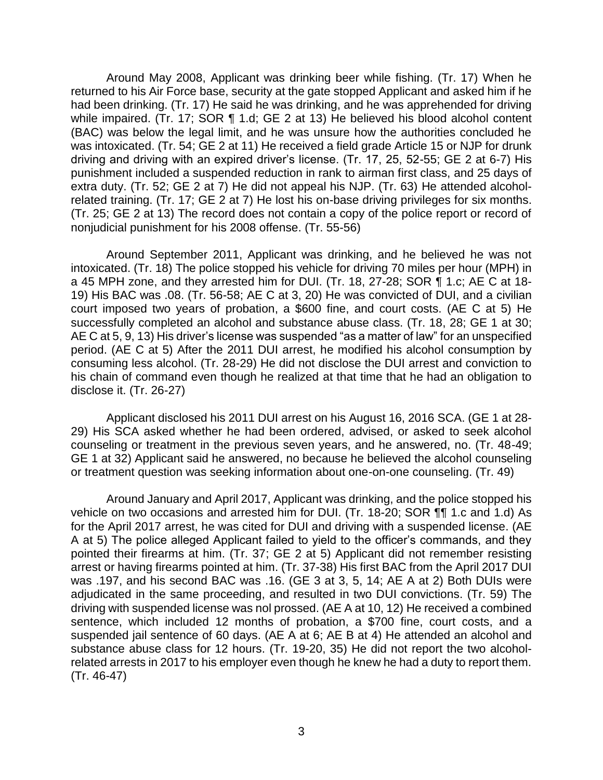Around May 2008, Applicant was drinking beer while fishing. (Tr. 17) When he returned to his Air Force base, security at the gate stopped Applicant and asked him if he had been drinking. (Tr. 17) He said he was drinking, and he was apprehended for driving while impaired. (Tr. 17; SOR ¶ 1.d; GE 2 at 13) He believed his blood alcohol content (BAC) was below the legal limit, and he was unsure how the authorities concluded he was intoxicated. (Tr. 54; GE 2 at 11) He received a field grade Article 15 or NJP for drunk driving and driving with an expired driver's license. (Tr. 17, 25, 52-55; GE 2 at 6-7) His punishment included a suspended reduction in rank to airman first class, and 25 days of extra duty. (Tr. 52; GE 2 at 7) He did not appeal his NJP. (Tr. 63) He attended alcohol- related training. (Tr. 17; GE 2 at 7) He lost his on-base driving privileges for six months. (Tr. 25; GE 2 at 13) The record does not contain a copy of the police report or record of nonjudicial punishment for his 2008 offense. (Tr. 55-56)

Around September 2011, Applicant was drinking, and he believed he was not intoxicated. (Tr. 18) The police stopped his vehicle for driving 70 miles per hour (MPH) in a 45 MPH zone, and they arrested him for DUI. (Tr. 18, 27-28; SOR ¶ 1.c; AE C at 18- 19) His BAC was .08. (Tr. 56-58; AE C at 3, 20) He was convicted of DUI, and a civilian court imposed two years of probation, a \$600 fine, and court costs. (AE C at 5) He successfully completed an alcohol and substance abuse class. (Tr. 18, 28; GE 1 at 30; AE C at 5, 9, 13) His driver's license was suspended "as a matter of law" for an unspecified period. (AE C at 5) After the 2011 DUI arrest, he modified his alcohol consumption by consuming less alcohol. (Tr. 28-29) He did not disclose the DUI arrest and conviction to his chain of command even though he realized at that time that he had an obligation to disclose it. (Tr. 26-27)

Applicant disclosed his 2011 DUI arrest on his August 16, 2016 SCA. (GE 1 at 28- 29) His SCA asked whether he had been ordered, advised, or asked to seek alcohol counseling or treatment in the previous seven years, and he answered, no. (Tr. 48-49; GE 1 at 32) Applicant said he answered, no because he believed the alcohol counseling or treatment question was seeking information about one-on-one counseling. (Tr. 49)

 Around January and April 2017, Applicant was drinking, and the police stopped his vehicle on two occasions and arrested him for DUI. (Tr. 18-20; SOR ¶¶ 1.c and 1.d) As for the April 2017 arrest, he was cited for DUI and driving with a suspended license. (AE A at 5) The police alleged Applicant failed to yield to the officer's commands, and they pointed their firearms at him. (Tr. 37; GE 2 at 5) Applicant did not remember resisting arrest or having firearms pointed at him. (Tr. 37-38) His first BAC from the April 2017 DUI was .197, and his second BAC was .16. (GE 3 at 3, 5, 14; AE A at 2) Both DUIs were adjudicated in the same proceeding, and resulted in two DUI convictions. (Tr. 59) The driving with suspended license was nol prossed. (AE A at 10, 12) He received a combined sentence, which included 12 months of probation, a \$700 fine, court costs, and a suspended jail sentence of 60 days. (AE A at 6; AE B at 4) He attended an alcohol and substance abuse class for 12 hours. (Tr. 19-20, 35) He did not report the two alcohol- related arrests in 2017 to his employer even though he knew he had a duty to report them. (Tr. 46-47)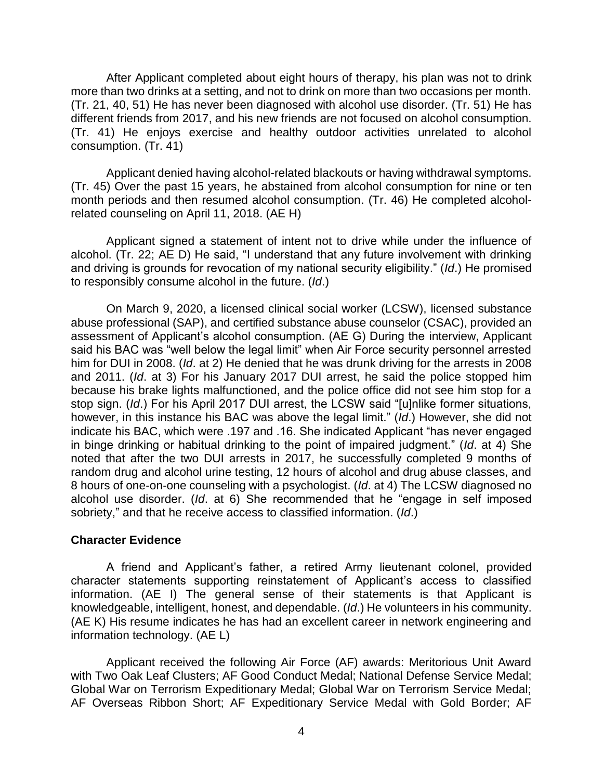After Applicant completed about eight hours of therapy, his plan was not to drink more than two drinks at a setting, and not to drink on more than two occasions per month. (Tr. 21, 40, 51) He has never been diagnosed with alcohol use disorder. (Tr. 51) He has different friends from 2017, and his new friends are not focused on alcohol consumption. (Tr. 41) He enjoys exercise and healthy outdoor activities unrelated to alcohol consumption. (Tr. 41)

 Applicant denied having alcohol-related blackouts or having withdrawal symptoms. (Tr. 45) Over the past 15 years, he abstained from alcohol consumption for nine or ten month periods and then resumed alcohol consumption. (Tr. 46) He completed alcoholrelated counseling on April 11, 2018. (AE H)

 Applicant signed a statement of intent not to drive while under the influence of alcohol. (Tr. 22; AE D) He said, "I understand that any future involvement with drinking to responsibly consume alcohol in the future. (Id.) and driving is grounds for revocation of my national security eligibility." (*Id*.) He promised

to responsibly consume alcohol in the future. (*Id*.)<br>On March 9, 2020, a licensed clinical social worker (LCSW), licensed substance abuse professional (SAP), and certified substance abuse counselor (CSAC), provided an assessment of Applicant's alcohol consumption. (AE G) During the interview, Applicant said his BAC was "well below the legal limit" when Air Force security personnel arrested him for DUI in 2008. (*Id*. at 2) He denied that he was drunk driving for the arrests in 2008 and 2011. (*Id*. at 3) For his January 2017 DUI arrest, he said the police stopped him because his brake lights malfunctioned, and the police office did not see him stop for a stop sign. (*Id*.) For his April 2017 DUI arrest, the LCSW said "[u]nlike former situations, however, in this instance his BAC was above the legal limit." (*Id*.) However, she did not indicate his BAC, which were .197 and .16. She indicated Applicant "has never engaged in binge drinking or habitual drinking to the point of impaired judgment." (*Id*. at 4) She noted that after the two DUI arrests in 2017, he successfully completed 9 months of random drug and alcohol urine testing, 12 hours of alcohol and drug abuse classes, and 8 hours of one-on-one counseling with a psychologist. (*Id*. at 4) The LCSW diagnosed no alcohol use disorder. (*Id*. at 6) She recommended that he "engage in self imposed sobriety," and that he receive access to classified information. (*Id*.)

#### **Character Evidence**

 A friend and Applicant's father, a retired Army lieutenant colonel, provided character statements supporting reinstatement of Applicant's access to classified information. (AE I) The general sense of their statements is that Applicant is knowledgeable, intelligent, honest, and dependable. (*Id*.) He volunteers in his community. (AE K) His resume indicates he has had an excellent career in network engineering and information technology. (AE L)

 Applicant received the following Air Force (AF) awards: Meritorious Unit Award with Two Oak Leaf Clusters; AF Good Conduct Medal; National Defense Service Medal; Global War on Terrorism Expeditionary Medal; Global War on Terrorism Service Medal; AF Overseas Ribbon Short; AF Expeditionary Service Medal with Gold Border; AF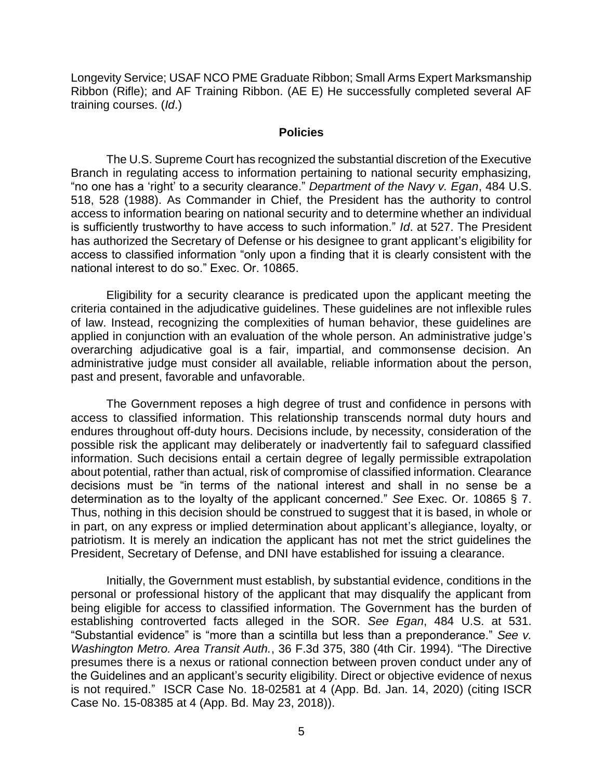Longevity Service; USAF NCO PME Graduate Ribbon; Small Arms Expert Marksmanship Ribbon (Rifle); and AF Training Ribbon. (AE E) He successfully completed several AF training courses. (*Id*.)

#### **Policies**

 The U.S. Supreme Court has recognized the substantial discretion of the Executive Branch in regulating access to information pertaining to national security emphasizing, "no one has a 'right' to a security clearance." *Department of the Navy v. Egan*, 484 U.S. 518, 528 (1988). As Commander in Chief, the President has the authority to control access to information bearing on national security and to determine whether an individual is sufficiently trustworthy to have access to such information." *Id*. at 527. The President has authorized the Secretary of Defense or his designee to grant applicant's eligibility for access to classified information "only upon a finding that it is clearly consistent with the national interest to do so." Exec. Or. 10865.

 Eligibility for a security clearance is predicated upon the applicant meeting the criteria contained in the adjudicative guidelines. These guidelines are not inflexible rules of law. Instead, recognizing the complexities of human behavior, these guidelines are applied in conjunction with an evaluation of the whole person. An administrative judge's overarching adjudicative goal is a fair, impartial, and commonsense decision. An administrative judge must consider all available, reliable information about the person, past and present, favorable and unfavorable.

 The Government reposes a high degree of trust and confidence in persons with access to classified information. This relationship transcends normal duty hours and endures throughout off-duty hours. Decisions include, by necessity, consideration of the possible risk the applicant may deliberately or inadvertently fail to safeguard classified information. Such decisions entail a certain degree of legally permissible extrapolation about potential, rather than actual, risk of compromise of classified information. Clearance decisions must be "in terms of the national interest and shall in no sense be a determination as to the loyalty of the applicant concerned." *See* Exec. Or. 10865 § 7. Thus, nothing in this decision should be construed to suggest that it is based, in whole or in part, on any express or implied determination about applicant's allegiance, loyalty, or patriotism. It is merely an indication the applicant has not met the strict guidelines the President, Secretary of Defense, and DNI have established for issuing a clearance.

 Initially, the Government must establish, by substantial evidence, conditions in the personal or professional history of the applicant that may disqualify the applicant from being eligible for access to classified information. The Government has the burden of establishing controverted facts alleged in the SOR. *See Egan*, 484 U.S. at 531. "Substantial evidence" is "more than a scintilla but less than a preponderance." *See v. Washington Metro. Area Transit Auth.*, 36 F.3d 375, 380 (4th Cir. 1994). "The Directive presumes there is a nexus or rational connection between proven conduct under any of the Guidelines and an applicant's security eligibility. Direct or objective evidence of nexus is not required." ISCR Case No. 18-02581 at 4 (App. Bd. Jan. 14, 2020) (citing ISCR Case No. 15-08385 at 4 (App. Bd. May 23, 2018)).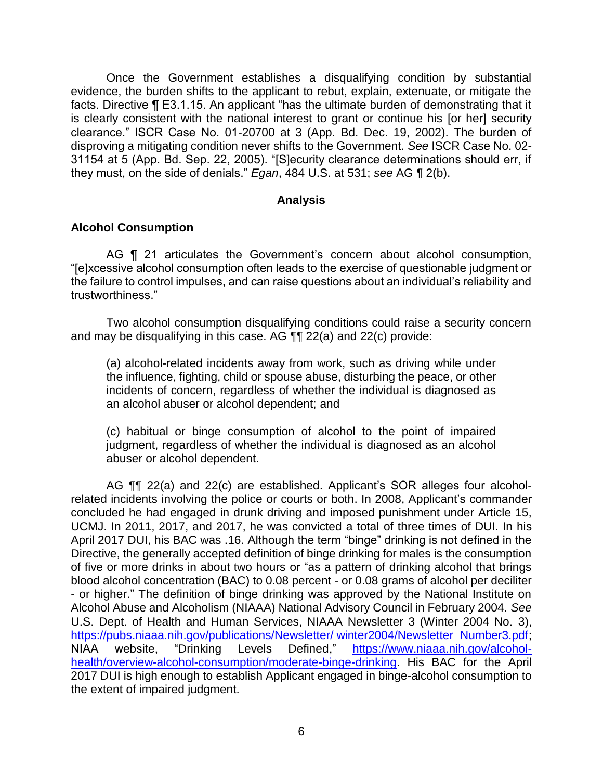Once the Government establishes a disqualifying condition by substantial evidence, the burden shifts to the applicant to rebut, explain, extenuate, or mitigate the facts. Directive ¶ E3.1.15. An applicant "has the ultimate burden of demonstrating that it is clearly consistent with the national interest to grant or continue his [or her] security clearance." ISCR Case No. 01-20700 at 3 (App. Bd. Dec. 19, 2002). The burden of disproving a mitigating condition never shifts to the Government. *See* ISCR Case No. 02- 31154 at 5 (App. Bd. Sep. 22, 2005). "[S]ecurity clearance determinations should err, if they must, on the side of denials." *Egan*, 484 U.S. at 531; *see* AG ¶ 2(b).

### **Analysis**

## **Alcohol Consumption**

AG **[1** 21 articulates the Government's concern about alcohol consumption, "[e]xcessive alcohol consumption often leads to the exercise of questionable judgment or the failure to control impulses, and can raise questions about an individual's reliability and trustworthiness."

 Two alcohol consumption disqualifying conditions could raise a security concern and may be disqualifying in this case. AG ¶¶ 22(a) and 22(c) provide:

 (a) alcohol-related incidents away from work, such as driving while under the influence, fighting, child or spouse abuse, disturbing the peace, or other incidents of concern, regardless of whether the individual is diagnosed as an alcohol abuser or alcohol dependent; and

 (c) habitual or binge consumption of alcohol to the point of impaired judgment, regardless of whether the individual is diagnosed as an alcohol abuser or alcohol dependent.

**NIAA**  2017 DUI is high enough to establish Applicant engaged in binge-alcohol consumption to AG ¶¶ 22(a) and 22(c) are established. Applicant's SOR alleges four alcoholrelated incidents involving the police or courts or both. In 2008, Applicant's commander concluded he had engaged in drunk driving and imposed punishment under Article 15, UCMJ. In 2011, 2017, and 2017, he was convicted a total of three times of DUI. In his April 2017 DUI, his BAC was .16. Although the term "binge" drinking is not defined in the Directive, the generally accepted definition of binge drinking for males is the consumption of five or more drinks in about two hours or "as a pattern of drinking alcohol that brings blood alcohol concentration (BAC) to 0.08 percent - or 0.08 grams of alcohol per deciliter - or higher." The definition of binge drinking was approved by the National Institute on Alcohol Abuse and Alcoholism (NIAAA) National Advisory Council in February 2004. *See*  U.S. Dept. of Health and Human Services, NIAAA Newsletter 3 (Winter 2004 No. 3), [https://pubs.niaaa.nih.gov/publications/Newsletter/ winter2004/Newsletter Number3.pdf;](https://pubs.niaaa.nih.gov/publications/Newsletter/%20winter2004/Newsletter_Number3.pdf) website, "Drinking Levels Defined," [https://www.niaaa.nih.gov/alcohol](https://www.niaaa.nih.gov/alcohol-health/overview-alcohol-consumption/moderate-binge-drinking)[health/overview-alcohol-consumption/moderate-binge-drinking.](https://www.niaaa.nih.gov/alcohol-health/overview-alcohol-consumption/moderate-binge-drinking) His BAC for the April the extent of impaired judgment.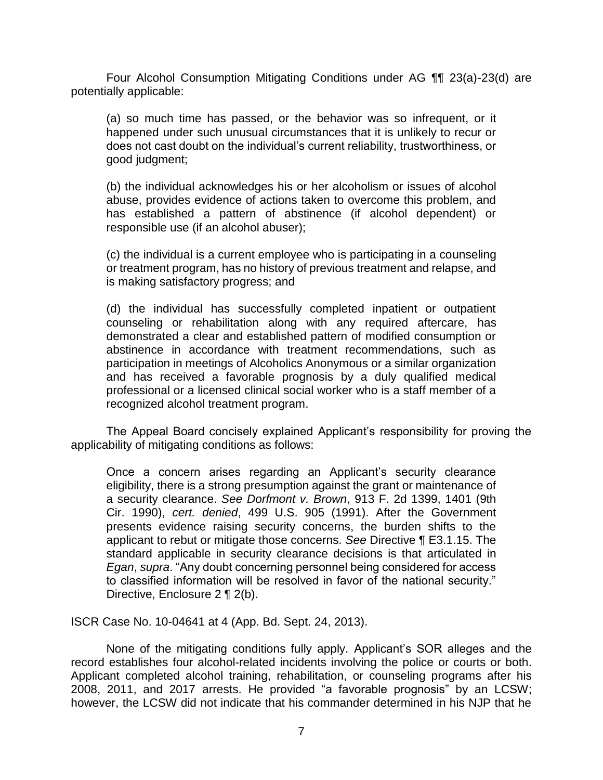Four Alcohol Consumption Mitigating Conditions under AG ¶¶ 23(a)-23(d) are potentially applicable:

(a) so much time has passed, or the behavior was so infrequent, or it happened under such unusual circumstances that it is unlikely to recur or does not cast doubt on the individual's current reliability, trustworthiness, or good judgment;

 abuse, provides evidence of actions taken to overcome this problem, and has established a pattern of abstinence (if alcohol dependent) or (b) the individual acknowledges his or her alcoholism or issues of alcohol responsible use (if an alcohol abuser);

 (c) the individual is a current employee who is participating in a counseling or treatment program, has no history of previous treatment and relapse, and is making satisfactory progress; and

 counseling or rehabilitation along with any required aftercare, has demonstrated a clear and established pattern of modified consumption or abstinence in accordance with treatment recommendations, such as participation in meetings of Alcoholics Anonymous or a similar organization and has received a favorable prognosis by a duly qualified medical professional or a licensed clinical social worker who is a staff member of a (d) the individual has successfully completed inpatient or outpatient recognized alcohol treatment program.

The Appeal Board concisely explained Applicant's responsibility for proving the applicability of mitigating conditions as follows:

Once a concern arises regarding an Applicant's security clearance eligibility, there is a strong presumption against the grant or maintenance of a security clearance. *See Dorfmont v. Brown*, 913 F. 2d 1399, 1401 (9th Cir. 1990), *cert. denied*, 499 U.S. 905 (1991). After the Government presents evidence raising security concerns, the burden shifts to the applicant to rebut or mitigate those concerns. *See* Directive ¶ E3.1.15. The standard applicable in security clearance decisions is that articulated in *Egan*, *supra*. "Any doubt concerning personnel being considered for access to classified information will be resolved in favor of the national security." Directive, Enclosure 2 ¶ 2(b).

ISCR Case No. 10-04641 at 4 (App. Bd. Sept. 24, 2013).

 None of the mitigating conditions fully apply. Applicant's SOR alleges and the record establishes four alcohol-related incidents involving the police or courts or both. 2008, 2011, and 2017 arrests. He provided "a favorable prognosis" by an LCSW; however, the LCSW did not indicate that his commander determined in his NJP that he Applicant completed alcohol training, rehabilitation, or counseling programs after his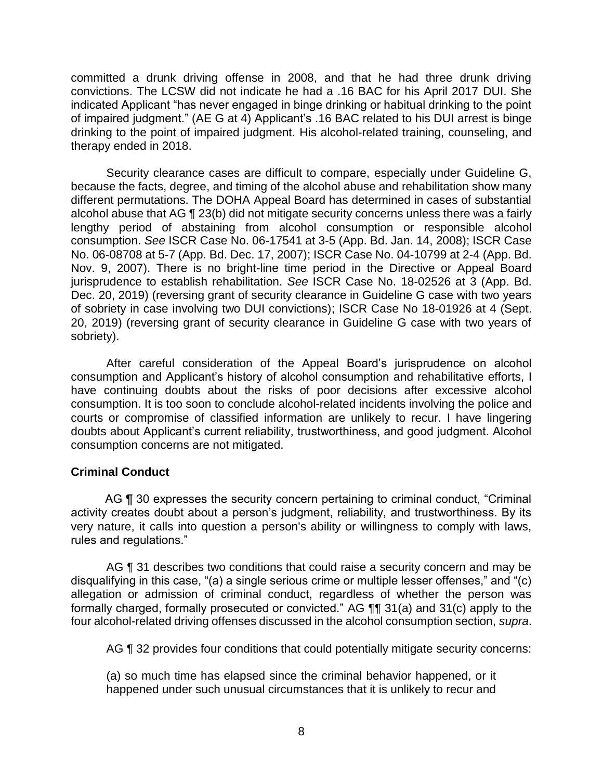committed a drunk driving offense in 2008, and that he had three drunk driving convictions. The LCSW did not indicate he had a .16 BAC for his April 2017 DUI. She indicated Applicant "has never engaged in binge drinking or habitual drinking to the point of impaired judgment." (AE G at 4) Applicant's .16 BAC related to his DUI arrest is binge drinking to the point of impaired judgment. His alcohol-related training, counseling, and therapy ended in 2018.

 Security clearance cases are difficult to compare, especially under Guideline G, because the facts, degree, and timing of the alcohol abuse and rehabilitation show many different permutations. The DOHA Appeal Board has determined in cases of substantial alcohol abuse that AG ¶ 23(b) did not mitigate security concerns unless there was a fairly lengthy period of abstaining from alcohol consumption or responsible alcohol consumption. *See* ISCR Case No. 06-17541 at 3-5 (App. Bd. Jan. 14, 2008); ISCR Case No. 06-08708 at 5-7 (App. Bd. Dec. 17, 2007); ISCR Case No. 04-10799 at 2-4 (App. Bd. Nov. 9, 2007). There is no bright-line time period in the Directive or Appeal Board jurisprudence to establish rehabilitation. *See* ISCR Case No. 18-02526 at 3 (App. Bd. Dec. 20, 2019) (reversing grant of security clearance in Guideline G case with two years of sobriety in case involving two DUI convictions); ISCR Case No 18-01926 at 4 (Sept. 20, 2019) (reversing grant of security clearance in Guideline G case with two years of sobriety).

 After careful consideration of the Appeal Board's jurisprudence on alcohol consumption and Applicant's history of alcohol consumption and rehabilitative efforts, I courts or compromise of classified information are unlikely to recur. I have lingering doubts about Applicant's current reliability, trustworthiness, and good judgment. Alcohol have continuing doubts about the risks of poor decisions after excessive alcohol consumption. It is too soon to conclude alcohol-related incidents involving the police and consumption concerns are not mitigated.

### **Criminal Conduct**

AG ¶ 30 expresses the security concern pertaining to criminal conduct, "Criminal activity creates doubt about a person's judgment, reliability, and trustworthiness. By its very nature, it calls into question a person's ability or willingness to comply with laws, rules and regulations."

AG **[1** 31 describes two conditions that could raise a security concern and may be disqualifying in this case, "(a) a single serious crime or multiple lesser offenses," and "(c) allegation or admission of criminal conduct, regardless of whether the person was formally charged, formally prosecuted or convicted." AG ¶¶ 31(a) and 31(c) apply to the four alcohol-related driving offenses discussed in the alcohol consumption section, *supra*.

AG ¶ 32 provides four conditions that could potentially mitigate security concerns:

 (a) so much time has elapsed since the criminal behavior happened, or it happened under such unusual circumstances that it is unlikely to recur and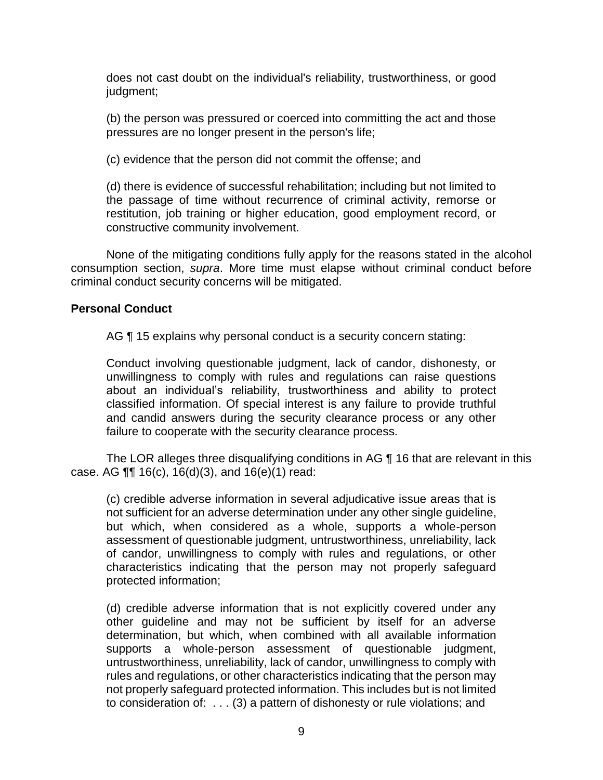does not cast doubt on the individual's reliability, trustworthiness, or good judgment;

(b) the person was pressured or coerced into committing the act and those pressures are no longer present in the person's life;

(c) evidence that the person did not commit the offense; and

 (d) there is evidence of successful rehabilitation; including but not limited to the passage of time without recurrence of criminal activity, remorse or restitution, job training or higher education, good employment record, or constructive community involvement.

 None of the mitigating conditions fully apply for the reasons stated in the alcohol consumption section, *supra*. More time must elapse without criminal conduct before criminal conduct security concerns will be mitigated.

### **Personal Conduct**

AG ¶ 15 explains why personal conduct is a security concern stating:

 Conduct involving questionable judgment, lack of candor, dishonesty, or unwillingness to comply with rules and regulations can raise questions about an individual's reliability, trustworthiness and ability to protect classified information. Of special interest is any failure to provide truthful and candid answers during the security clearance process or any other failure to cooperate with the security clearance process.

The LOR alleges three disqualifying conditions in AG ¶ 16 that are relevant in this case. AG ¶¶ 16(c), 16(d)(3), and 16(e)(1) read:

 (c) credible adverse information in several adjudicative issue areas that is not sufficient for an adverse determination under any other single guideline, but which, when considered as a whole, supports a whole-person of candor, unwillingness to comply with rules and regulations, or other characteristics indicating that the person may not properly safeguard assessment of questionable judgment, untrustworthiness, unreliability, lack protected information;

 (d) credible adverse information that is not explicitly covered under any other guideline and may not be sufficient by itself for an adverse determination, but which, when combined with all available information untrustworthiness, unreliability, lack of candor, unwillingness to comply with rules and regulations, or other characteristics indicating that the person may to consideration of: . . . (3) a pattern of dishonesty or rule violations; and supports a whole-person assessment of questionable judgment, not properly safeguard protected information. This includes but is not limited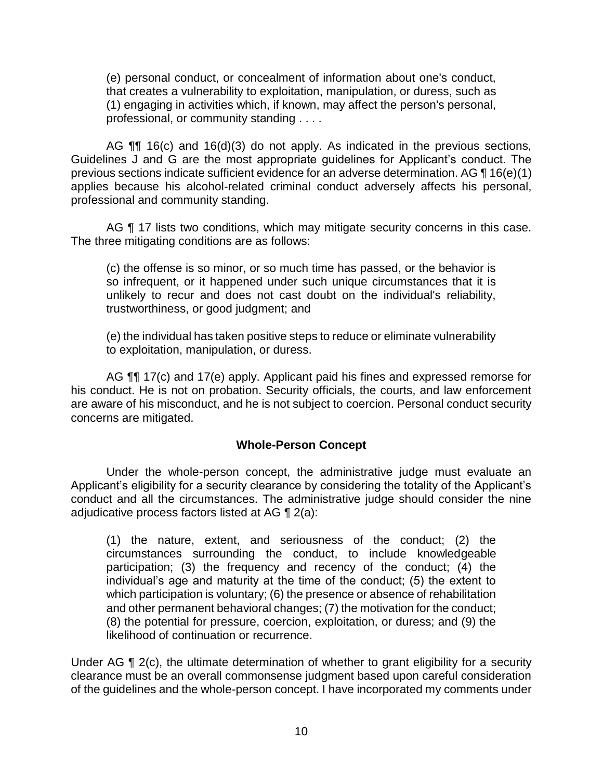(e) personal conduct, or concealment of information about one's conduct, that creates a vulnerability to exploitation, manipulation, or duress, such as (1) engaging in activities which, if known, may affect the person's personal, professional, or community standing . . . .

AG  $\P\P$  16(c) and 16(d)(3) do not apply. As indicated in the previous sections, Guidelines J and G are the most appropriate guidelines for Applicant's conduct. The previous sections indicate sufficient evidence for an adverse determination. AG  $\P$  16(e)(1) applies because his alcohol-related criminal conduct adversely affects his personal, professional and community standing.

AG ¶ 17 lists two conditions, which may mitigate security concerns in this case. The three mitigating conditions are as follows:

 (c) the offense is so minor, or so much time has passed, or the behavior is so infrequent, or it happened under such unique circumstances that it is unlikely to recur and does not cast doubt on the individual's reliability, trustworthiness, or good judgment; and

 (e) the individual has taken positive steps to reduce or eliminate vulnerability to exploitation, manipulation, or duress.

AG  $\P$  17(c) and 17(e) apply. Applicant paid his fines and expressed remorse for his conduct. He is not on probation. Security officials, the courts, and law enforcement are aware of his misconduct, and he is not subject to coercion. Personal conduct security concerns are mitigated.

### **Whole-Person Concept**

Under the whole-person concept, the administrative judge must evaluate an Applicant's eligibility for a security clearance by considering the totality of the Applicant's conduct and all the circumstances. The administrative judge should consider the nine adjudicative process factors listed at AG ¶ 2(a):

(1) the nature, extent, and seriousness of the conduct; (2) the circumstances surrounding the conduct, to include knowledgeable participation; (3) the frequency and recency of the conduct; (4) the individual's age and maturity at the time of the conduct; (5) the extent to which participation is voluntary; (6) the presence or absence of rehabilitation and other permanent behavioral changes; (7) the motivation for the conduct; (8) the potential for pressure, coercion, exploitation, or duress; and (9) the likelihood of continuation or recurrence.

Under AG ¶ 2(c), the ultimate determination of whether to grant eligibility for a security clearance must be an overall commonsense judgment based upon careful consideration of the guidelines and the whole-person concept. I have incorporated my comments under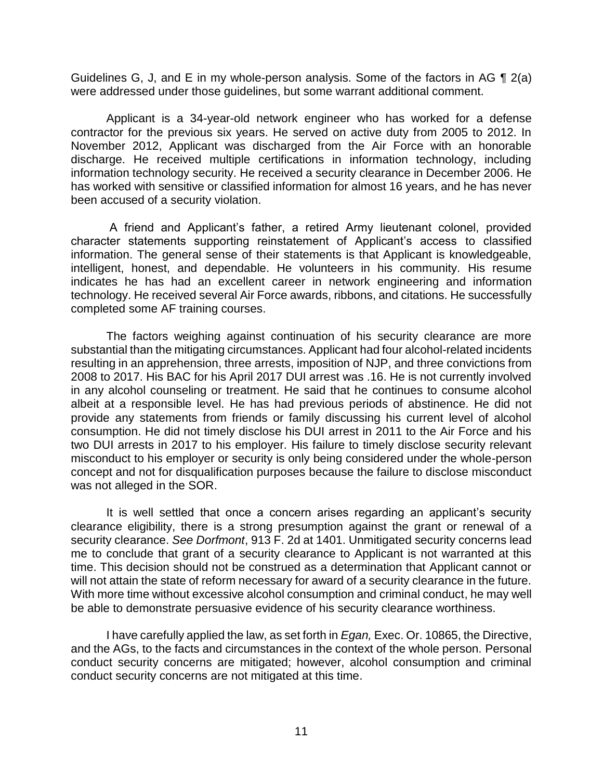Guidelines G, J, and E in my whole-person analysis. Some of the factors in AG  $\P$  2(a) were addressed under those guidelines, but some warrant additional comment.

 Applicant is a 34-year-old network engineer who has worked for a defense contractor for the previous six years. He served on active duty from 2005 to 2012. In November 2012, Applicant was discharged from the Air Force with an honorable discharge. He received multiple certifications in information technology, including information technology security. He received a security clearance in December 2006. He has worked with sensitive or classified information for almost 16 years, and he has never been accused of a security violation.

 A friend and Applicant's father, a retired Army lieutenant colonel, provided character statements supporting reinstatement of Applicant's access to classified information. The general sense of their statements is that Applicant is knowledgeable, indicates he has had an excellent career in network engineering and information technology. He received several Air Force awards, ribbons, and citations. He successfully intelligent, honest, and dependable. He volunteers in his community. His resume completed some AF training courses.

 The factors weighing against continuation of his security clearance are more substantial than the mitigating circumstances. Applicant had four alcohol-related incidents resulting in an apprehension, three arrests, imposition of NJP, and three convictions from in any alcohol counseling or treatment. He said that he continues to consume alcohol albeit at a responsible level. He has had previous periods of abstinence. He did not provide any statements from friends or family discussing his current level of alcohol consumption. He did not timely disclose his DUI arrest in 2011 to the Air Force and his two DUI arrests in 2017 to his employer. His failure to timely disclose security relevant misconduct to his employer or security is only being considered under the whole-person 2008 to 2017. His BAC for his April 2017 DUI arrest was .16. He is not currently involved concept and not for disqualification purposes because the failure to disclose misconduct was not alleged in the SOR.

 It is well settled that once a concern arises regarding an applicant's security clearance eligibility, there is a strong presumption against the grant or renewal of a security clearance. *See Dorfmont*, 913 F. 2d at 1401. Unmitigated security concerns lead me to conclude that grant of a security clearance to Applicant is not warranted at this time. This decision should not be construed as a determination that Applicant cannot or will not attain the state of reform necessary for award of a security clearance in the future. With more time without excessive alcohol consumption and criminal conduct, he may well be able to demonstrate persuasive evidence of his security clearance worthiness.

 I have carefully applied the law, as set forth in *Egan,* Exec. Or. 10865, the Directive, and the AGs, to the facts and circumstances in the context of the whole person. Personal conduct security concerns are mitigated; however, alcohol consumption and criminal conduct security concerns are not mitigated at this time.